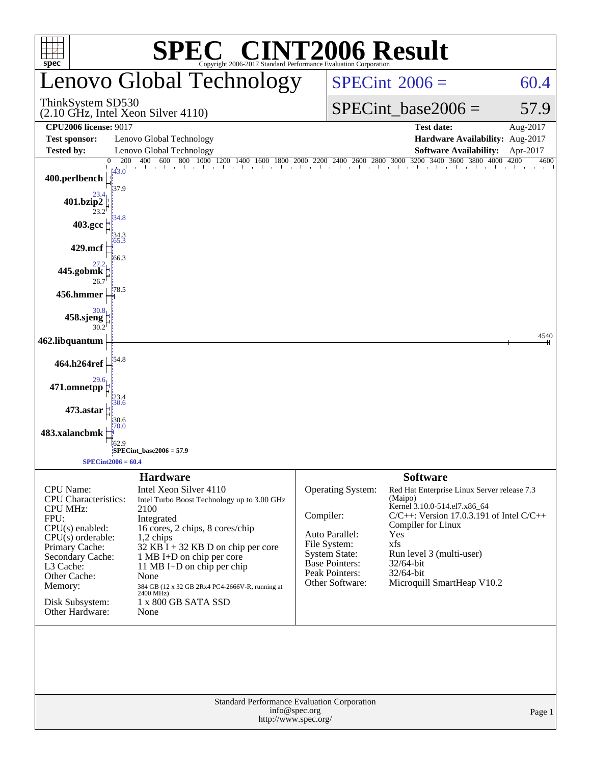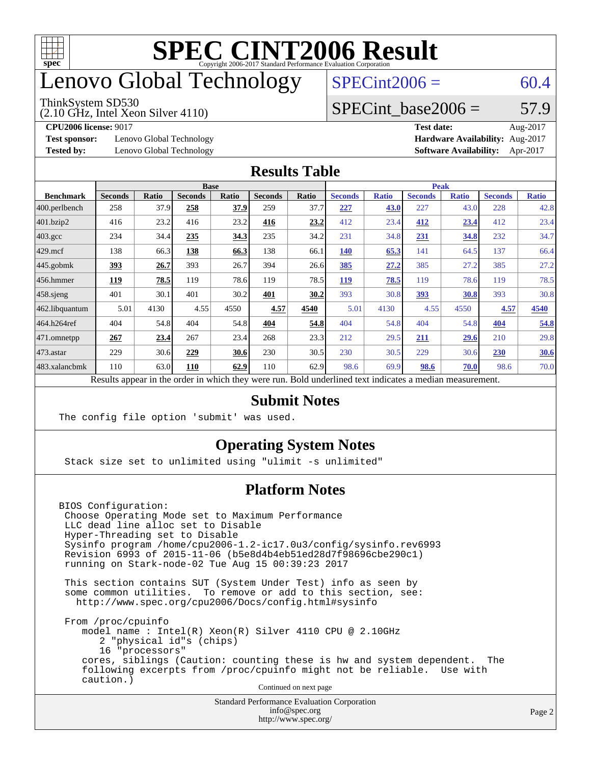

### enovo Global Technology

#### ThinkSystem SD530

(2.10 GHz, Intel Xeon Silver 4110)

 $SPECint2006 = 60.4$  $SPECint2006 = 60.4$ 

#### SPECint base2006 =  $57.9$

**[Test sponsor:](http://www.spec.org/auto/cpu2006/Docs/result-fields.html#Testsponsor)** Lenovo Global Technology **[Hardware Availability:](http://www.spec.org/auto/cpu2006/Docs/result-fields.html#HardwareAvailability)** Aug-2017

**[CPU2006 license:](http://www.spec.org/auto/cpu2006/Docs/result-fields.html#CPU2006license)** 9017 **[Test date:](http://www.spec.org/auto/cpu2006/Docs/result-fields.html#Testdate)** Aug-2017 **[Tested by:](http://www.spec.org/auto/cpu2006/Docs/result-fields.html#Testedby)** Lenovo Global Technology **[Software Availability:](http://www.spec.org/auto/cpu2006/Docs/result-fields.html#SoftwareAvailability)** Apr-2017

#### **[Results Table](http://www.spec.org/auto/cpu2006/Docs/result-fields.html#ResultsTable)**

|                                                                                                          | <b>Base</b>    |              |                |              | <b>Peak</b>    |       |                |              |                |              |                |              |
|----------------------------------------------------------------------------------------------------------|----------------|--------------|----------------|--------------|----------------|-------|----------------|--------------|----------------|--------------|----------------|--------------|
| <b>Benchmark</b>                                                                                         | <b>Seconds</b> | <b>Ratio</b> | <b>Seconds</b> | <b>Ratio</b> | <b>Seconds</b> | Ratio | <b>Seconds</b> | <b>Ratio</b> | <b>Seconds</b> | <b>Ratio</b> | <b>Seconds</b> | <b>Ratio</b> |
| 400.perlbench                                                                                            | 258            | 37.9         | 258            | 37.9         | 259            | 37.7  | 227            | 43.0         | 227            | 43.0         | 228            | 42.8         |
| $401$ .bzip2                                                                                             | 416            | 23.2         | 416            | 23.2         | 416            | 23.2  | 412            | 23.4         | 412            | 23.4         | 412            | 23.4         |
| $403.\mathrm{gcc}$                                                                                       | 234            | 34.4         | 235            | 34.3         | 235            | 34.2  | 231            | 34.8         | 231            | 34.8         | 232            | 34.7         |
| $429$ mcf                                                                                                | 138            | 66.3         | 138            | 66.3         | 138            | 66.1  | <b>140</b>     | 65.3         | 141            | 64.5         | 137            | 66.4         |
| $445$ .gobmk                                                                                             | <u>393</u>     | 26.7         | 393            | 26.7         | 394            | 26.6  | 385            | 27.2         | 385            | 27.2         | 385            | 27.2         |
| $456.$ hmmer                                                                                             | 119            | 78.5         | 119            | 78.6         | 119            | 78.5  | 119            | 78.5         | 119            | 78.6         | 119            | 78.5         |
| $458$ .sjeng                                                                                             | 401            | 30.1         | 401            | 30.2         | 401            | 30.2  | 393            | 30.8         | 393            | 30.8         | 393            | 30.8         |
| 462.libquantum                                                                                           | 5.01           | 4130         | 4.55           | 4550         | 4.57           | 4540  | 5.01           | 4130         | 4.55           | 4550         | 4.57           | 4540         |
| 464.h264ref                                                                                              | 404            | 54.8         | 404            | 54.8         | 404            | 54.8  | 404            | 54.8         | 404            | 54.8         | 404            | 54.8         |
| 471.omnetpp                                                                                              | 267            | 23.4         | 267            | 23.4         | 268            | 23.3  | 212            | 29.5         | 211            | 29.6         | 210            | 29.8         |
| 473.astar                                                                                                | 229            | 30.6         | 229            | 30.6         | 230            | 30.5  | 230            | 30.5         | 229            | 30.6         | 230            | 30.6         |
| 483.xalancbmk                                                                                            | 110            | 63.0         | 110            | 62.9         | 110            | 62.9  | 98.6           | 69.9         | 98.6           | 70.0         | 98.6           | 70.0         |
| Results appear in the order in which they were run. Bold underlined text indicates a median measurement. |                |              |                |              |                |       |                |              |                |              |                |              |

#### **[Submit Notes](http://www.spec.org/auto/cpu2006/Docs/result-fields.html#SubmitNotes)**

The config file option 'submit' was used.

#### **[Operating System Notes](http://www.spec.org/auto/cpu2006/Docs/result-fields.html#OperatingSystemNotes)**

Stack size set to unlimited using "ulimit -s unlimited"

#### **[Platform Notes](http://www.spec.org/auto/cpu2006/Docs/result-fields.html#PlatformNotes)**

BIOS Configuration: Choose Operating Mode set to Maximum Performance LLC dead line alloc set to Disable Hyper-Threading set to Disable Sysinfo program /home/cpu2006-1.2-ic17.0u3/config/sysinfo.rev6993 Revision 6993 of 2015-11-06 (b5e8d4b4eb51ed28d7f98696cbe290c1) running on Stark-node-02 Tue Aug 15 00:39:23 2017

 This section contains SUT (System Under Test) info as seen by some common utilities. To remove or add to this section, see: <http://www.spec.org/cpu2006/Docs/config.html#sysinfo>

 From /proc/cpuinfo model name : Intel(R) Xeon(R) Silver 4110 CPU @ 2.10GHz 2 "physical id"s (chips) 16 "processors" cores, siblings (Caution: counting these is hw and system dependent. The following excerpts from /proc/cpuinfo might not be reliable. Use with caution.)

Continued on next page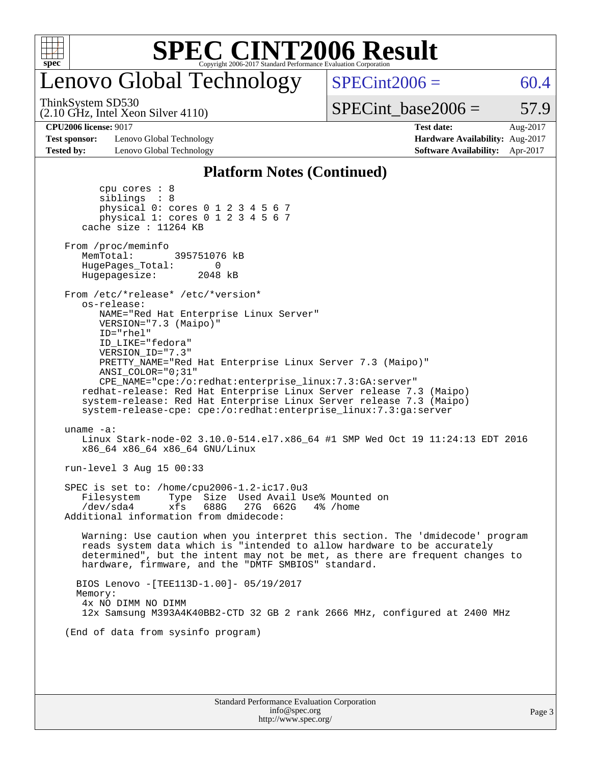

# Lenovo Global Technology

ThinkSystem SD530

 $SPECint2006 = 60.4$  $SPECint2006 = 60.4$ 

(2.10 GHz, Intel Xeon Silver 4110)

 $SPECTnt\_base2006 = 57.9$ 

**[Test sponsor:](http://www.spec.org/auto/cpu2006/Docs/result-fields.html#Testsponsor)** Lenovo Global Technology **[Hardware Availability:](http://www.spec.org/auto/cpu2006/Docs/result-fields.html#HardwareAvailability)** Aug-2017 **[Tested by:](http://www.spec.org/auto/cpu2006/Docs/result-fields.html#Testedby)** Lenovo Global Technology **[Software Availability:](http://www.spec.org/auto/cpu2006/Docs/result-fields.html#SoftwareAvailability)** Apr-2017

**[CPU2006 license:](http://www.spec.org/auto/cpu2006/Docs/result-fields.html#CPU2006license)** 9017 **[Test date:](http://www.spec.org/auto/cpu2006/Docs/result-fields.html#Testdate)** Aug-2017

#### **[Platform Notes \(Continued\)](http://www.spec.org/auto/cpu2006/Docs/result-fields.html#PlatformNotes)**

| (End of data from sysinfo program)                                                                                                                                                                                                                                                                                                                                                                                                                                                                                                       |  |
|------------------------------------------------------------------------------------------------------------------------------------------------------------------------------------------------------------------------------------------------------------------------------------------------------------------------------------------------------------------------------------------------------------------------------------------------------------------------------------------------------------------------------------------|--|
| BIOS Lenovo - [TEE113D-1.00]- 05/19/2017<br>Memory:<br>4x NO DIMM NO DIMM<br>12x Samsung M393A4K40BB2-CTD 32 GB 2 rank 2666 MHz, configured at 2400 MHz                                                                                                                                                                                                                                                                                                                                                                                  |  |
| Warning: Use caution when you interpret this section. The 'dmidecode' program<br>reads system data which is "intended to allow hardware to be accurately<br>determined", but the intent may not be met, as there are frequent changes to<br>hardware, firmware, and the "DMTF SMBIOS" standard.                                                                                                                                                                                                                                          |  |
| SPEC is set to: /home/cpu2006-1.2-ic17.0u3<br>Type Size Used Avail Use% Mounted on<br>Filesystem<br>/dev/sda4<br>xfs<br>688G<br>27G 662G<br>4% /home<br>Additional information from dmidecode:                                                                                                                                                                                                                                                                                                                                           |  |
| run-level 3 Aug 15 00:33                                                                                                                                                                                                                                                                                                                                                                                                                                                                                                                 |  |
| uname $-a$ :<br>Linux Stark-node-02 3.10.0-514.el7.x86_64 #1 SMP Wed Oct 19 11:24:13 EDT 2016<br>x86_64 x86_64 x86_64 GNU/Linux                                                                                                                                                                                                                                                                                                                                                                                                          |  |
| From /etc/*release* /etc/*version*<br>os-release:<br>NAME="Red Hat Enterprise Linux Server"<br>VERSION="7.3 (Maipo)"<br>ID="rhel"<br>ID_LIKE="fedora"<br>VERSION_ID="7.3"<br>PRETTY_NAME="Red Hat Enterprise Linux Server 7.3 (Maipo)"<br>ANSI COLOR="0;31"<br>CPE_NAME="cpe:/o:redhat:enterprise_linux:7.3:GA:server"<br>redhat-release: Red Hat Enterprise Linux Server release 7.3 (Maipo)<br>system-release: Red Hat Enterprise Linux Server release 7.3 (Maipo)<br>system-release-cpe: cpe:/o:redhat:enterprise_linux:7.3:ga:server |  |
| From /proc/meminfo<br>MemTotal:<br>395751076 kB<br>HugePages_Total:<br>0<br>Hugepagesize: 2048 kB                                                                                                                                                                                                                                                                                                                                                                                                                                        |  |
| cpu cores $: 8$<br>siblings : 8<br>physical 0: cores 0 1 2 3 4 5 6 7<br>physical 1: cores 0 1 2 3 4 5 6 7<br>cache size : 11264 KB                                                                                                                                                                                                                                                                                                                                                                                                       |  |

<http://www.spec.org/>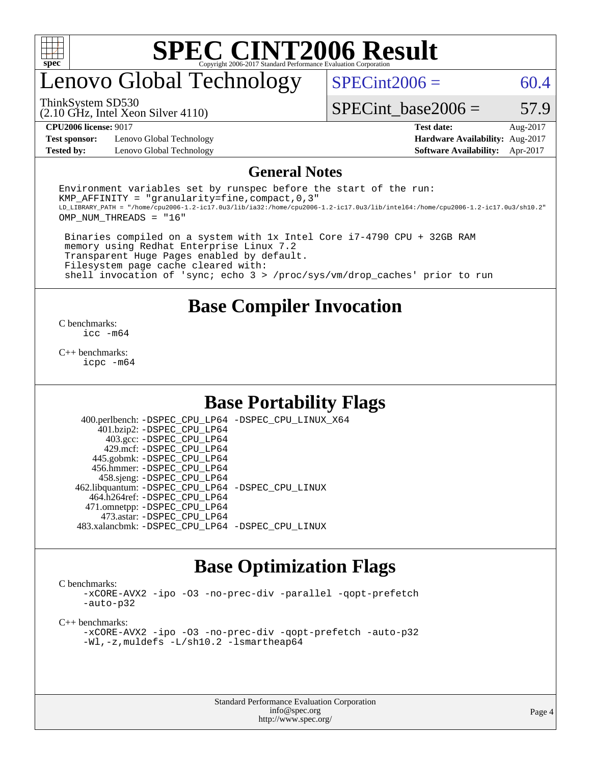

# enovo Global Technology

ThinkSystem SD530

 $SPECint2006 = 60.4$  $SPECint2006 = 60.4$ 

(2.10 GHz, Intel Xeon Silver 4110)

SPECint base2006 =  $57.9$ 

**[Test sponsor:](http://www.spec.org/auto/cpu2006/Docs/result-fields.html#Testsponsor)** Lenovo Global Technology **[Hardware Availability:](http://www.spec.org/auto/cpu2006/Docs/result-fields.html#HardwareAvailability)** Aug-2017

**[CPU2006 license:](http://www.spec.org/auto/cpu2006/Docs/result-fields.html#CPU2006license)** 9017 **[Test date:](http://www.spec.org/auto/cpu2006/Docs/result-fields.html#Testdate)** Aug-2017 **[Tested by:](http://www.spec.org/auto/cpu2006/Docs/result-fields.html#Testedby)** Lenovo Global Technology **[Software Availability:](http://www.spec.org/auto/cpu2006/Docs/result-fields.html#SoftwareAvailability)** Apr-2017

#### **[General Notes](http://www.spec.org/auto/cpu2006/Docs/result-fields.html#GeneralNotes)**

Environment variables set by runspec before the start of the run: KMP AFFINITY = "granularity=fine, compact,  $0,3$ " LD\_LIBRARY\_PATH = "/home/cpu2006-1.2-ic17.0u3/lib/ia32:/home/cpu2006-1.2-ic17.0u3/lib/intel64:/home/cpu2006-1.2-ic17.0u3/sh10.2" OMP\_NUM\_THREADS = "16"

 Binaries compiled on a system with 1x Intel Core i7-4790 CPU + 32GB RAM memory using Redhat Enterprise Linux 7.2 Transparent Huge Pages enabled by default. Filesystem page cache cleared with: shell invocation of 'sync; echo 3 > /proc/sys/vm/drop\_caches' prior to run

#### **[Base Compiler Invocation](http://www.spec.org/auto/cpu2006/Docs/result-fields.html#BaseCompilerInvocation)**

[C benchmarks](http://www.spec.org/auto/cpu2006/Docs/result-fields.html#Cbenchmarks): [icc -m64](http://www.spec.org/cpu2006/results/res2017q4/cpu2006-20170918-49618.flags.html#user_CCbase_intel_icc_64bit_bda6cc9af1fdbb0edc3795bac97ada53)

[C++ benchmarks:](http://www.spec.org/auto/cpu2006/Docs/result-fields.html#CXXbenchmarks) [icpc -m64](http://www.spec.org/cpu2006/results/res2017q4/cpu2006-20170918-49618.flags.html#user_CXXbase_intel_icpc_64bit_fc66a5337ce925472a5c54ad6a0de310)

#### **[Base Portability Flags](http://www.spec.org/auto/cpu2006/Docs/result-fields.html#BasePortabilityFlags)**

 400.perlbench: [-DSPEC\\_CPU\\_LP64](http://www.spec.org/cpu2006/results/res2017q4/cpu2006-20170918-49618.flags.html#b400.perlbench_basePORTABILITY_DSPEC_CPU_LP64) [-DSPEC\\_CPU\\_LINUX\\_X64](http://www.spec.org/cpu2006/results/res2017q4/cpu2006-20170918-49618.flags.html#b400.perlbench_baseCPORTABILITY_DSPEC_CPU_LINUX_X64) 401.bzip2: [-DSPEC\\_CPU\\_LP64](http://www.spec.org/cpu2006/results/res2017q4/cpu2006-20170918-49618.flags.html#suite_basePORTABILITY401_bzip2_DSPEC_CPU_LP64) 403.gcc: [-DSPEC\\_CPU\\_LP64](http://www.spec.org/cpu2006/results/res2017q4/cpu2006-20170918-49618.flags.html#suite_basePORTABILITY403_gcc_DSPEC_CPU_LP64) 429.mcf: [-DSPEC\\_CPU\\_LP64](http://www.spec.org/cpu2006/results/res2017q4/cpu2006-20170918-49618.flags.html#suite_basePORTABILITY429_mcf_DSPEC_CPU_LP64) 445.gobmk: [-DSPEC\\_CPU\\_LP64](http://www.spec.org/cpu2006/results/res2017q4/cpu2006-20170918-49618.flags.html#suite_basePORTABILITY445_gobmk_DSPEC_CPU_LP64) 456.hmmer: [-DSPEC\\_CPU\\_LP64](http://www.spec.org/cpu2006/results/res2017q4/cpu2006-20170918-49618.flags.html#suite_basePORTABILITY456_hmmer_DSPEC_CPU_LP64) 458.sjeng: [-DSPEC\\_CPU\\_LP64](http://www.spec.org/cpu2006/results/res2017q4/cpu2006-20170918-49618.flags.html#suite_basePORTABILITY458_sjeng_DSPEC_CPU_LP64) 462.libquantum: [-DSPEC\\_CPU\\_LP64](http://www.spec.org/cpu2006/results/res2017q4/cpu2006-20170918-49618.flags.html#suite_basePORTABILITY462_libquantum_DSPEC_CPU_LP64) [-DSPEC\\_CPU\\_LINUX](http://www.spec.org/cpu2006/results/res2017q4/cpu2006-20170918-49618.flags.html#b462.libquantum_baseCPORTABILITY_DSPEC_CPU_LINUX) 464.h264ref: [-DSPEC\\_CPU\\_LP64](http://www.spec.org/cpu2006/results/res2017q4/cpu2006-20170918-49618.flags.html#suite_basePORTABILITY464_h264ref_DSPEC_CPU_LP64) 471.omnetpp: [-DSPEC\\_CPU\\_LP64](http://www.spec.org/cpu2006/results/res2017q4/cpu2006-20170918-49618.flags.html#suite_basePORTABILITY471_omnetpp_DSPEC_CPU_LP64) 473.astar: [-DSPEC\\_CPU\\_LP64](http://www.spec.org/cpu2006/results/res2017q4/cpu2006-20170918-49618.flags.html#suite_basePORTABILITY473_astar_DSPEC_CPU_LP64) 483.xalancbmk: [-DSPEC\\_CPU\\_LP64](http://www.spec.org/cpu2006/results/res2017q4/cpu2006-20170918-49618.flags.html#suite_basePORTABILITY483_xalancbmk_DSPEC_CPU_LP64) [-DSPEC\\_CPU\\_LINUX](http://www.spec.org/cpu2006/results/res2017q4/cpu2006-20170918-49618.flags.html#b483.xalancbmk_baseCXXPORTABILITY_DSPEC_CPU_LINUX)

#### **[Base Optimization Flags](http://www.spec.org/auto/cpu2006/Docs/result-fields.html#BaseOptimizationFlags)**

[C benchmarks](http://www.spec.org/auto/cpu2006/Docs/result-fields.html#Cbenchmarks):

[-xCORE-AVX2](http://www.spec.org/cpu2006/results/res2017q4/cpu2006-20170918-49618.flags.html#user_CCbase_f-xCORE-AVX2) [-ipo](http://www.spec.org/cpu2006/results/res2017q4/cpu2006-20170918-49618.flags.html#user_CCbase_f-ipo) [-O3](http://www.spec.org/cpu2006/results/res2017q4/cpu2006-20170918-49618.flags.html#user_CCbase_f-O3) [-no-prec-div](http://www.spec.org/cpu2006/results/res2017q4/cpu2006-20170918-49618.flags.html#user_CCbase_f-no-prec-div) [-parallel](http://www.spec.org/cpu2006/results/res2017q4/cpu2006-20170918-49618.flags.html#user_CCbase_f-parallel) [-qopt-prefetch](http://www.spec.org/cpu2006/results/res2017q4/cpu2006-20170918-49618.flags.html#user_CCbase_f-qopt-prefetch) [-auto-p32](http://www.spec.org/cpu2006/results/res2017q4/cpu2006-20170918-49618.flags.html#user_CCbase_f-auto-p32)

[C++ benchmarks:](http://www.spec.org/auto/cpu2006/Docs/result-fields.html#CXXbenchmarks)

[-xCORE-AVX2](http://www.spec.org/cpu2006/results/res2017q4/cpu2006-20170918-49618.flags.html#user_CXXbase_f-xCORE-AVX2) [-ipo](http://www.spec.org/cpu2006/results/res2017q4/cpu2006-20170918-49618.flags.html#user_CXXbase_f-ipo) [-O3](http://www.spec.org/cpu2006/results/res2017q4/cpu2006-20170918-49618.flags.html#user_CXXbase_f-O3) [-no-prec-div](http://www.spec.org/cpu2006/results/res2017q4/cpu2006-20170918-49618.flags.html#user_CXXbase_f-no-prec-div) [-qopt-prefetch](http://www.spec.org/cpu2006/results/res2017q4/cpu2006-20170918-49618.flags.html#user_CXXbase_f-qopt-prefetch) [-auto-p32](http://www.spec.org/cpu2006/results/res2017q4/cpu2006-20170918-49618.flags.html#user_CXXbase_f-auto-p32) [-Wl,-z,muldefs](http://www.spec.org/cpu2006/results/res2017q4/cpu2006-20170918-49618.flags.html#user_CXXbase_link_force_multiple1_74079c344b956b9658436fd1b6dd3a8a) [-L/sh10.2 -lsmartheap64](http://www.spec.org/cpu2006/results/res2017q4/cpu2006-20170918-49618.flags.html#user_CXXbase_SmartHeap64_63911d860fc08c15fa1d5bf319b9d8d5)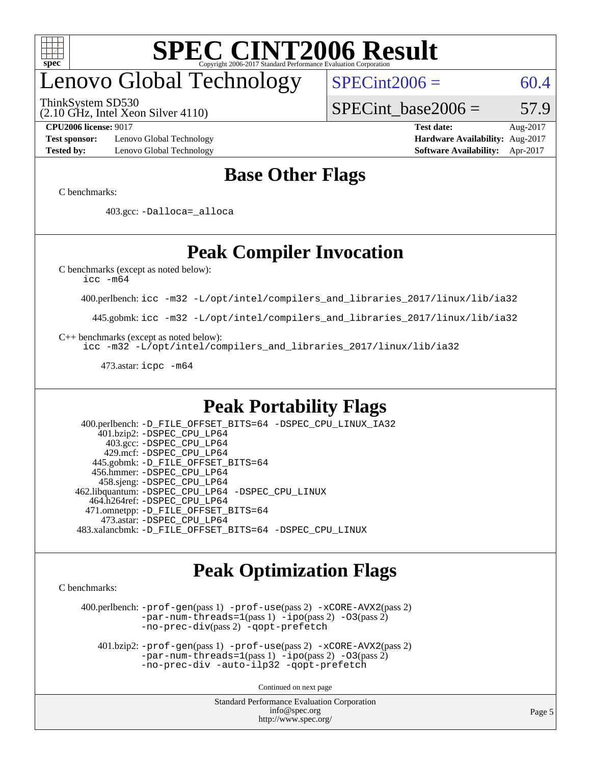

# enovo Global Technology

ThinkSystem SD530

(2.10 GHz, Intel Xeon Silver 4110)

 $SPECint2006 = 60.4$  $SPECint2006 = 60.4$ 

SPECint base2006 =  $57.9$ 

**[Test sponsor:](http://www.spec.org/auto/cpu2006/Docs/result-fields.html#Testsponsor)** Lenovo Global Technology **[Hardware Availability:](http://www.spec.org/auto/cpu2006/Docs/result-fields.html#HardwareAvailability)** Aug-2017 **[Tested by:](http://www.spec.org/auto/cpu2006/Docs/result-fields.html#Testedby)** Lenovo Global Technology **[Software Availability:](http://www.spec.org/auto/cpu2006/Docs/result-fields.html#SoftwareAvailability)** Apr-2017

**[CPU2006 license:](http://www.spec.org/auto/cpu2006/Docs/result-fields.html#CPU2006license)** 9017 **[Test date:](http://www.spec.org/auto/cpu2006/Docs/result-fields.html#Testdate)** Aug-2017

### **[Base Other Flags](http://www.spec.org/auto/cpu2006/Docs/result-fields.html#BaseOtherFlags)**

[C benchmarks](http://www.spec.org/auto/cpu2006/Docs/result-fields.html#Cbenchmarks):

403.gcc: [-Dalloca=\\_alloca](http://www.spec.org/cpu2006/results/res2017q4/cpu2006-20170918-49618.flags.html#b403.gcc_baseEXTRA_CFLAGS_Dalloca_be3056838c12de2578596ca5467af7f3)

### **[Peak Compiler Invocation](http://www.spec.org/auto/cpu2006/Docs/result-fields.html#PeakCompilerInvocation)**

[C benchmarks \(except as noted below\)](http://www.spec.org/auto/cpu2006/Docs/result-fields.html#Cbenchmarksexceptasnotedbelow):

[icc -m64](http://www.spec.org/cpu2006/results/res2017q4/cpu2006-20170918-49618.flags.html#user_CCpeak_intel_icc_64bit_bda6cc9af1fdbb0edc3795bac97ada53)

400.perlbench: [icc -m32 -L/opt/intel/compilers\\_and\\_libraries\\_2017/linux/lib/ia32](http://www.spec.org/cpu2006/results/res2017q4/cpu2006-20170918-49618.flags.html#user_peakCCLD400_perlbench_intel_icc_c29f3ff5a7ed067b11e4ec10a03f03ae)

445.gobmk: [icc -m32 -L/opt/intel/compilers\\_and\\_libraries\\_2017/linux/lib/ia32](http://www.spec.org/cpu2006/results/res2017q4/cpu2006-20170918-49618.flags.html#user_peakCCLD445_gobmk_intel_icc_c29f3ff5a7ed067b11e4ec10a03f03ae)

[C++ benchmarks \(except as noted below\):](http://www.spec.org/auto/cpu2006/Docs/result-fields.html#CXXbenchmarksexceptasnotedbelow)

[icc -m32 -L/opt/intel/compilers\\_and\\_libraries\\_2017/linux/lib/ia32](http://www.spec.org/cpu2006/results/res2017q4/cpu2006-20170918-49618.flags.html#user_CXXpeak_intel_icc_c29f3ff5a7ed067b11e4ec10a03f03ae)

473.astar: [icpc -m64](http://www.spec.org/cpu2006/results/res2017q4/cpu2006-20170918-49618.flags.html#user_peakCXXLD473_astar_intel_icpc_64bit_fc66a5337ce925472a5c54ad6a0de310)

#### **[Peak Portability Flags](http://www.spec.org/auto/cpu2006/Docs/result-fields.html#PeakPortabilityFlags)**

 400.perlbench: [-D\\_FILE\\_OFFSET\\_BITS=64](http://www.spec.org/cpu2006/results/res2017q4/cpu2006-20170918-49618.flags.html#user_peakPORTABILITY400_perlbench_file_offset_bits_64_438cf9856305ebd76870a2c6dc2689ab) [-DSPEC\\_CPU\\_LINUX\\_IA32](http://www.spec.org/cpu2006/results/res2017q4/cpu2006-20170918-49618.flags.html#b400.perlbench_peakCPORTABILITY_DSPEC_CPU_LINUX_IA32) 401.bzip2: [-DSPEC\\_CPU\\_LP64](http://www.spec.org/cpu2006/results/res2017q4/cpu2006-20170918-49618.flags.html#suite_peakPORTABILITY401_bzip2_DSPEC_CPU_LP64) 403.gcc: [-DSPEC\\_CPU\\_LP64](http://www.spec.org/cpu2006/results/res2017q4/cpu2006-20170918-49618.flags.html#suite_peakPORTABILITY403_gcc_DSPEC_CPU_LP64) 429.mcf: [-DSPEC\\_CPU\\_LP64](http://www.spec.org/cpu2006/results/res2017q4/cpu2006-20170918-49618.flags.html#suite_peakPORTABILITY429_mcf_DSPEC_CPU_LP64) 445.gobmk: [-D\\_FILE\\_OFFSET\\_BITS=64](http://www.spec.org/cpu2006/results/res2017q4/cpu2006-20170918-49618.flags.html#user_peakPORTABILITY445_gobmk_file_offset_bits_64_438cf9856305ebd76870a2c6dc2689ab) 456.hmmer: [-DSPEC\\_CPU\\_LP64](http://www.spec.org/cpu2006/results/res2017q4/cpu2006-20170918-49618.flags.html#suite_peakPORTABILITY456_hmmer_DSPEC_CPU_LP64) 458.sjeng: [-DSPEC\\_CPU\\_LP64](http://www.spec.org/cpu2006/results/res2017q4/cpu2006-20170918-49618.flags.html#suite_peakPORTABILITY458_sjeng_DSPEC_CPU_LP64) 462.libquantum: [-DSPEC\\_CPU\\_LP64](http://www.spec.org/cpu2006/results/res2017q4/cpu2006-20170918-49618.flags.html#suite_peakPORTABILITY462_libquantum_DSPEC_CPU_LP64) [-DSPEC\\_CPU\\_LINUX](http://www.spec.org/cpu2006/results/res2017q4/cpu2006-20170918-49618.flags.html#b462.libquantum_peakCPORTABILITY_DSPEC_CPU_LINUX) 464.h264ref: [-DSPEC\\_CPU\\_LP64](http://www.spec.org/cpu2006/results/res2017q4/cpu2006-20170918-49618.flags.html#suite_peakPORTABILITY464_h264ref_DSPEC_CPU_LP64) 471.omnetpp: [-D\\_FILE\\_OFFSET\\_BITS=64](http://www.spec.org/cpu2006/results/res2017q4/cpu2006-20170918-49618.flags.html#user_peakPORTABILITY471_omnetpp_file_offset_bits_64_438cf9856305ebd76870a2c6dc2689ab) 473.astar: [-DSPEC\\_CPU\\_LP64](http://www.spec.org/cpu2006/results/res2017q4/cpu2006-20170918-49618.flags.html#suite_peakPORTABILITY473_astar_DSPEC_CPU_LP64) 483.xalancbmk: [-D\\_FILE\\_OFFSET\\_BITS=64](http://www.spec.org/cpu2006/results/res2017q4/cpu2006-20170918-49618.flags.html#user_peakPORTABILITY483_xalancbmk_file_offset_bits_64_438cf9856305ebd76870a2c6dc2689ab) [-DSPEC\\_CPU\\_LINUX](http://www.spec.org/cpu2006/results/res2017q4/cpu2006-20170918-49618.flags.html#b483.xalancbmk_peakCXXPORTABILITY_DSPEC_CPU_LINUX)

#### **[Peak Optimization Flags](http://www.spec.org/auto/cpu2006/Docs/result-fields.html#PeakOptimizationFlags)**

[C benchmarks](http://www.spec.org/auto/cpu2006/Docs/result-fields.html#Cbenchmarks):

 400.perlbench: [-prof-gen](http://www.spec.org/cpu2006/results/res2017q4/cpu2006-20170918-49618.flags.html#user_peakPASS1_CFLAGSPASS1_LDCFLAGS400_perlbench_prof_gen_e43856698f6ca7b7e442dfd80e94a8fc)(pass 1) [-prof-use](http://www.spec.org/cpu2006/results/res2017q4/cpu2006-20170918-49618.flags.html#user_peakPASS2_CFLAGSPASS2_LDCFLAGS400_perlbench_prof_use_bccf7792157ff70d64e32fe3e1250b55)(pass 2) [-xCORE-AVX2](http://www.spec.org/cpu2006/results/res2017q4/cpu2006-20170918-49618.flags.html#user_peakPASS2_CFLAGSPASS2_LDCFLAGS400_perlbench_f-xCORE-AVX2)(pass 2) [-par-num-threads=1](http://www.spec.org/cpu2006/results/res2017q4/cpu2006-20170918-49618.flags.html#user_peakPASS1_CFLAGSPASS1_LDCFLAGS400_perlbench_par_num_threads_786a6ff141b4e9e90432e998842df6c2)(pass 1) [-ipo](http://www.spec.org/cpu2006/results/res2017q4/cpu2006-20170918-49618.flags.html#user_peakPASS2_CFLAGSPASS2_LDCFLAGS400_perlbench_f-ipo)(pass 2) [-O3](http://www.spec.org/cpu2006/results/res2017q4/cpu2006-20170918-49618.flags.html#user_peakPASS2_CFLAGSPASS2_LDCFLAGS400_perlbench_f-O3)(pass 2) [-no-prec-div](http://www.spec.org/cpu2006/results/res2017q4/cpu2006-20170918-49618.flags.html#user_peakPASS2_CFLAGSPASS2_LDCFLAGS400_perlbench_f-no-prec-div)(pass 2) [-qopt-prefetch](http://www.spec.org/cpu2006/results/res2017q4/cpu2006-20170918-49618.flags.html#user_peakCOPTIMIZE400_perlbench_f-qopt-prefetch)

 401.bzip2: [-prof-gen](http://www.spec.org/cpu2006/results/res2017q4/cpu2006-20170918-49618.flags.html#user_peakPASS1_CFLAGSPASS1_LDCFLAGS401_bzip2_prof_gen_e43856698f6ca7b7e442dfd80e94a8fc)(pass 1) [-prof-use](http://www.spec.org/cpu2006/results/res2017q4/cpu2006-20170918-49618.flags.html#user_peakPASS2_CFLAGSPASS2_LDCFLAGS401_bzip2_prof_use_bccf7792157ff70d64e32fe3e1250b55)(pass 2) [-xCORE-AVX2](http://www.spec.org/cpu2006/results/res2017q4/cpu2006-20170918-49618.flags.html#user_peakPASS2_CFLAGSPASS2_LDCFLAGS401_bzip2_f-xCORE-AVX2)(pass 2)  $-par-num-threads=1(pass 1) -ipo(pass 2) -O3(pass 2)$  $-par-num-threads=1(pass 1) -ipo(pass 2) -O3(pass 2)$  $-par-num-threads=1(pass 1) -ipo(pass 2) -O3(pass 2)$  $-par-num-threads=1(pass 1) -ipo(pass 2) -O3(pass 2)$  $-par-num-threads=1(pass 1) -ipo(pass 2) -O3(pass 2)$  $-par-num-threads=1(pass 1) -ipo(pass 2) -O3(pass 2)$ [-no-prec-div](http://www.spec.org/cpu2006/results/res2017q4/cpu2006-20170918-49618.flags.html#user_peakCOPTIMIZEPASS2_CFLAGSPASS2_LDCFLAGS401_bzip2_f-no-prec-div) [-auto-ilp32](http://www.spec.org/cpu2006/results/res2017q4/cpu2006-20170918-49618.flags.html#user_peakCOPTIMIZE401_bzip2_f-auto-ilp32) [-qopt-prefetch](http://www.spec.org/cpu2006/results/res2017q4/cpu2006-20170918-49618.flags.html#user_peakCOPTIMIZE401_bzip2_f-qopt-prefetch)

Continued on next page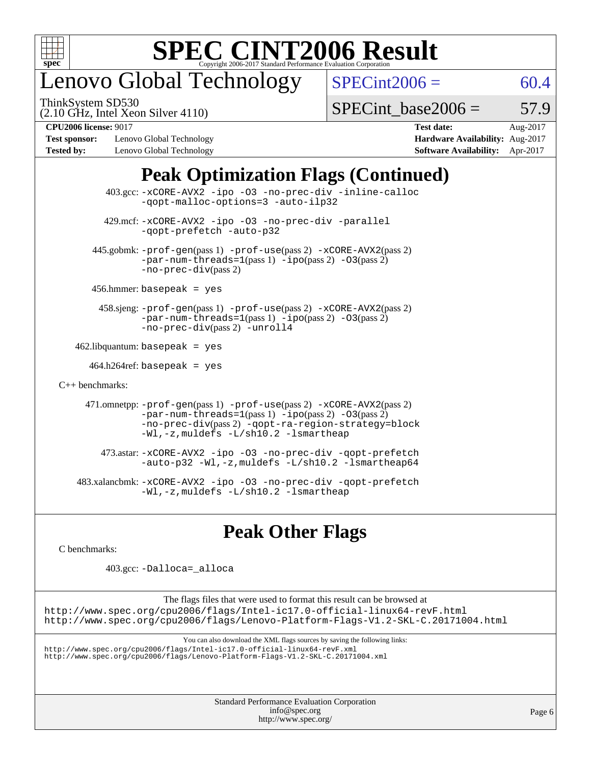

# enovo Global Technology

ThinkSystem SD530

 $SPECint2006 = 60.4$  $SPECint2006 = 60.4$ 

(2.10 GHz, Intel Xeon Silver 4110)

SPECint base2006 =  $57.9$ 

**[Test sponsor:](http://www.spec.org/auto/cpu2006/Docs/result-fields.html#Testsponsor)** Lenovo Global Technology **[Hardware Availability:](http://www.spec.org/auto/cpu2006/Docs/result-fields.html#HardwareAvailability)** Aug-2017 **[Tested by:](http://www.spec.org/auto/cpu2006/Docs/result-fields.html#Testedby)** Lenovo Global Technology **[Software Availability:](http://www.spec.org/auto/cpu2006/Docs/result-fields.html#SoftwareAvailability)** Apr-2017

**[CPU2006 license:](http://www.spec.org/auto/cpu2006/Docs/result-fields.html#CPU2006license)** 9017 **[Test date:](http://www.spec.org/auto/cpu2006/Docs/result-fields.html#Testdate)** Aug-2017

### **[Peak Optimization Flags \(Continued\)](http://www.spec.org/auto/cpu2006/Docs/result-fields.html#PeakOptimizationFlags)**

|                                        | $403.\text{sec}: -x \text{CORE-AVX2}$ -ipo -03 -no-prec-div -inline-calloc<br>-gopt-malloc-options=3 -auto-ilp32                                                                                                              |
|----------------------------------------|-------------------------------------------------------------------------------------------------------------------------------------------------------------------------------------------------------------------------------|
|                                        | 429.mcf: -xCORE-AVX2 -ipo -03 -no-prec-div -parallel<br>-gopt-prefetch -auto-p32                                                                                                                                              |
|                                        | 445.gobmk: -prof-gen(pass 1) -prof-use(pass 2) -xCORE-AVX2(pass 2)<br>$-par-num-threads=1(pass 1) -ipo(pass 2) -03(pass 2)$<br>$-no-prec-div(pass 2)$                                                                         |
| $456.$ hmmer: basepeak = yes           |                                                                                                                                                                                                                               |
|                                        | 458.sjeng: -prof-gen(pass 1) -prof-use(pass 2) -xCORE-AVX2(pass 2)<br>$-par-num-threads=1(pass 1) -ipo(pass 2) -03(pass 2)$<br>-no-prec-div(pass 2) -unroll4                                                                  |
| $462$ .libquantum: basepeak = yes      |                                                                                                                                                                                                                               |
| $464.h264 \text{ref}$ : basepeak = yes |                                                                                                                                                                                                                               |
| $C_{++}$ benchmarks:                   |                                                                                                                                                                                                                               |
|                                        | 471.omnetpp: -prof-gen(pass 1) -prof-use(pass 2) -xCORE-AVX2(pass 2)<br>$-par-num-threads=1(pass 1) -ipo(pass 2) -03(pass 2)$<br>-no-prec-div(pass 2) -qopt-ra-region-strategy=block<br>-Wl,-z, muldefs -L/sh10.2 -lsmartheap |
|                                        | 473.astar: -xCORE-AVX2 -ipo -03 -no-prec-div -qopt-prefetch<br>$-$ auto-p32 -Wl,-z, muldefs -L/sh10.2 -lsmartheap64                                                                                                           |
|                                        | 483.xalancbmk: -xCORE-AVX2 -ipo -03 -no-prec-div -qopt-prefetch<br>$-Wl$ , $-z$ , muldefs $-L/\nabla L$ , 2 $-l$ smartheap                                                                                                    |

#### **[Peak Other Flags](http://www.spec.org/auto/cpu2006/Docs/result-fields.html#PeakOtherFlags)**

[C benchmarks](http://www.spec.org/auto/cpu2006/Docs/result-fields.html#Cbenchmarks):

403.gcc: [-Dalloca=\\_alloca](http://www.spec.org/cpu2006/results/res2017q4/cpu2006-20170918-49618.flags.html#b403.gcc_peakEXTRA_CFLAGS_Dalloca_be3056838c12de2578596ca5467af7f3)

The flags files that were used to format this result can be browsed at <http://www.spec.org/cpu2006/flags/Intel-ic17.0-official-linux64-revF.html> <http://www.spec.org/cpu2006/flags/Lenovo-Platform-Flags-V1.2-SKL-C.20171004.html>

You can also download the XML flags sources by saving the following links:

<http://www.spec.org/cpu2006/flags/Intel-ic17.0-official-linux64-revF.xml> <http://www.spec.org/cpu2006/flags/Lenovo-Platform-Flags-V1.2-SKL-C.20171004.xml>